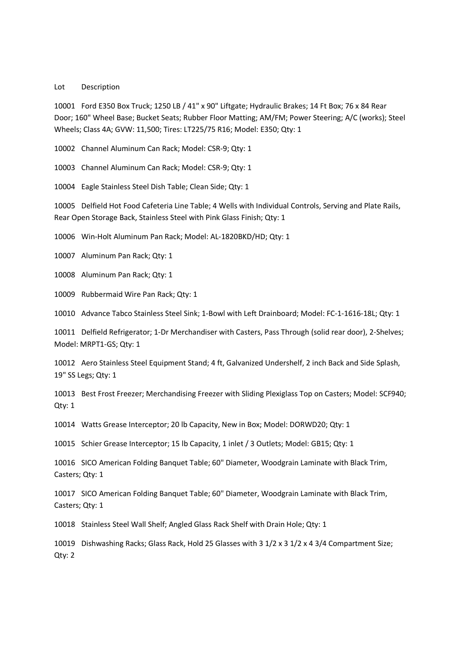## Lot Description

10001 Ford E350 Box Truck; 1250 LB / 41" x 90" Liftgate; Hydraulic Brakes; 14 Ft Box; 76 x 84 Rear Door; 160" Wheel Base; Bucket Seats; Rubber Floor Matting; AM/FM; Power Steering; A/C (works); Steel Wheels; Class 4A; GVW: 11,500; Tires: LT225/75 R16; Model: E350; Qty: 1

10002 Channel Aluminum Can Rack; Model: CSR-9; Qty: 1

10003 Channel Aluminum Can Rack; Model: CSR-9; Qty: 1

10004 Eagle Stainless Steel Dish Table; Clean Side; Qty: 1

10005 Delfield Hot Food Cafeteria Line Table; 4 Wells with Individual Controls, Serving and Plate Rails, Rear Open Storage Back, Stainless Steel with Pink Glass Finish; Qty: 1

10006 Win-Holt Aluminum Pan Rack; Model: AL-1820BKD/HD; Qty: 1

10007 Aluminum Pan Rack; Qty: 1

10008 Aluminum Pan Rack; Qty: 1

10009 Rubbermaid Wire Pan Rack; Qty: 1

10010 Advance Tabco Stainless Steel Sink; 1-Bowl with Left Drainboard; Model: FC-1-1616-18L; Qty: 1

10011 Delfield Refrigerator; 1-Dr Merchandiser with Casters, Pass Through (solid rear door), 2-Shelves; Model: MRPT1-GS; Qty: 1

10012 Aero Stainless Steel Equipment Stand; 4 ft, Galvanized Undershelf, 2 inch Back and Side Splash, 19" SS Legs; Qty: 1

10013 Best Frost Freezer; Merchandising Freezer with Sliding Plexiglass Top on Casters; Model: SCF940; Qty: 1

10014 Watts Grease Interceptor; 20 lb Capacity, New in Box; Model: DORWD20; Qty: 1

10015 Schier Grease Interceptor; 15 lb Capacity, 1 inlet / 3 Outlets; Model: GB15; Qty: 1

10016 SICO American Folding Banquet Table; 60" Diameter, Woodgrain Laminate with Black Trim, Casters; Qty: 1

10017 SICO American Folding Banquet Table; 60" Diameter, Woodgrain Laminate with Black Trim, Casters; Qty: 1

10018 Stainless Steel Wall Shelf; Angled Glass Rack Shelf with Drain Hole; Qty: 1

10019 Dishwashing Racks; Glass Rack, Hold 25 Glasses with 3 1/2 x 3 1/2 x 4 3/4 Compartment Size; Qty: 2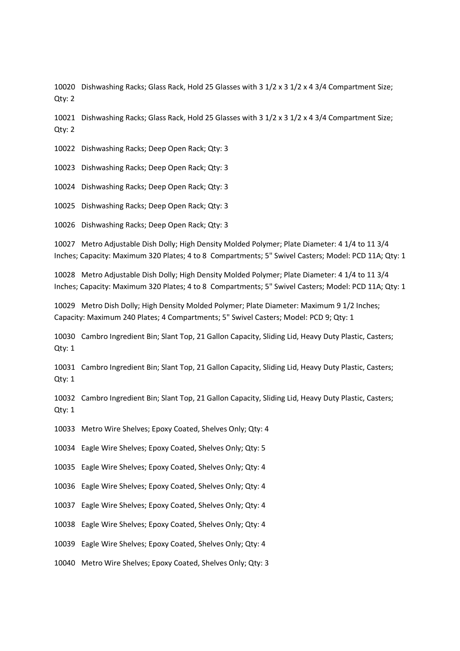10020 Dishwashing Racks; Glass Rack, Hold 25 Glasses with 3 1/2 x 3 1/2 x 4 3/4 Compartment Size; Qty: 2

10021 Dishwashing Racks; Glass Rack, Hold 25 Glasses with 3 1/2 x 3 1/2 x 4 3/4 Compartment Size; Qty: 2

10022 Dishwashing Racks; Deep Open Rack; Qty: 3

10023 Dishwashing Racks; Deep Open Rack; Qty: 3

10024 Dishwashing Racks; Deep Open Rack; Qty: 3

10025 Dishwashing Racks; Deep Open Rack; Qty: 3

10026 Dishwashing Racks; Deep Open Rack; Qty: 3

10027 Metro Adjustable Dish Dolly; High Density Molded Polymer; Plate Diameter: 4 1/4 to 11 3/4 Inches; Capacity: Maximum 320 Plates; 4 to 8 Compartments; 5" Swivel Casters; Model: PCD 11A; Qty: 1

10028 Metro Adjustable Dish Dolly; High Density Molded Polymer; Plate Diameter: 4 1/4 to 11 3/4 Inches; Capacity: Maximum 320 Plates; 4 to 8 Compartments; 5" Swivel Casters; Model: PCD 11A; Qty: 1

10029 Metro Dish Dolly; High Density Molded Polymer; Plate Diameter: Maximum 9 1/2 Inches; Capacity: Maximum 240 Plates; 4 Compartments; 5" Swivel Casters; Model: PCD 9; Qty: 1

10030 Cambro Ingredient Bin; Slant Top, 21 Gallon Capacity, Sliding Lid, Heavy Duty Plastic, Casters; Qty: 1

10031 Cambro Ingredient Bin; Slant Top, 21 Gallon Capacity, Sliding Lid, Heavy Duty Plastic, Casters; Qty: 1

10032 Cambro Ingredient Bin; Slant Top, 21 Gallon Capacity, Sliding Lid, Heavy Duty Plastic, Casters; Qty: 1

10033 Metro Wire Shelves; Epoxy Coated, Shelves Only; Qty: 4

10034 Eagle Wire Shelves; Epoxy Coated, Shelves Only; Qty: 5

10035 Eagle Wire Shelves; Epoxy Coated, Shelves Only; Qty: 4

10036 Eagle Wire Shelves; Epoxy Coated, Shelves Only; Qty: 4

10037 Eagle Wire Shelves; Epoxy Coated, Shelves Only; Qty: 4

10038 Eagle Wire Shelves; Epoxy Coated, Shelves Only; Qty: 4

10039 Eagle Wire Shelves; Epoxy Coated, Shelves Only; Qty: 4

10040 Metro Wire Shelves; Epoxy Coated, Shelves Only; Qty: 3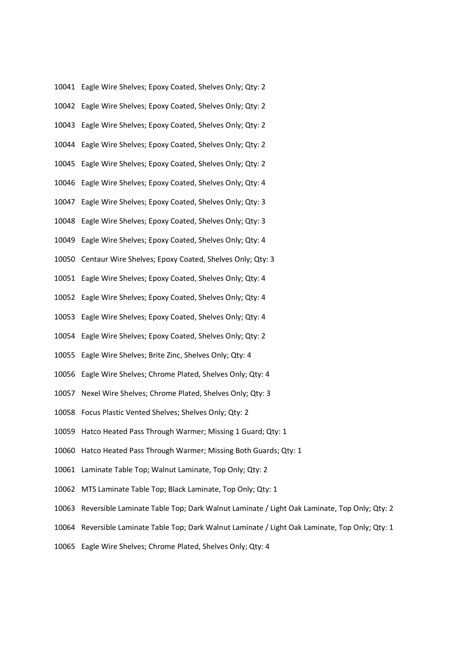|       | 10041 Eagle Wire Shelves; Epoxy Coated, Shelves Only; Qty: 2                                     |
|-------|--------------------------------------------------------------------------------------------------|
|       | 10042 Eagle Wire Shelves; Epoxy Coated, Shelves Only; Qty: 2                                     |
|       | 10043 Eagle Wire Shelves; Epoxy Coated, Shelves Only; Qty: 2                                     |
|       | 10044 Eagle Wire Shelves; Epoxy Coated, Shelves Only; Qty: 2                                     |
|       | 10045 Eagle Wire Shelves; Epoxy Coated, Shelves Only; Qty: 2                                     |
|       | 10046 Eagle Wire Shelves; Epoxy Coated, Shelves Only; Qty: 4                                     |
|       | 10047 Eagle Wire Shelves; Epoxy Coated, Shelves Only; Qty: 3                                     |
|       | 10048 Eagle Wire Shelves; Epoxy Coated, Shelves Only; Qty: 3                                     |
|       | 10049 Eagle Wire Shelves; Epoxy Coated, Shelves Only; Qty: 4                                     |
|       | 10050 Centaur Wire Shelves; Epoxy Coated, Shelves Only; Qty: 3                                   |
|       | 10051 Eagle Wire Shelves; Epoxy Coated, Shelves Only; Qty: 4                                     |
|       | 10052 Eagle Wire Shelves; Epoxy Coated, Shelves Only; Qty: 4                                     |
|       | 10053 Eagle Wire Shelves; Epoxy Coated, Shelves Only; Qty: 4                                     |
|       | 10054 Eagle Wire Shelves; Epoxy Coated, Shelves Only; Qty: 2                                     |
|       | 10055 Eagle Wire Shelves; Brite Zinc, Shelves Only; Qty: 4                                       |
|       | 10056 Eagle Wire Shelves; Chrome Plated, Shelves Only; Qty: 4                                    |
|       | 10057 Nexel Wire Shelves; Chrome Plated, Shelves Only; Qty: 3                                    |
|       | 10058 Focus Plastic Vented Shelves; Shelves Only; Qty: 2                                         |
|       | 10059 Hatco Heated Pass Through Warmer; Missing 1 Guard; Qty: 1                                  |
|       | 10060 Hatco Heated Pass Through Warmer; Missing Both Guards; Qty: 1                              |
|       | 10061 Laminate Table Top; Walnut Laminate, Top Only; Qty: 2                                      |
|       | 10062 MTS Laminate Table Top; Black Laminate, Top Only; Qty: 1                                   |
| 10063 | Reversible Laminate Table Top; Dark Walnut Laminate / Light Oak Laminate, Top Only; Qty: 2       |
|       | 10064 Reversible Laminate Table Top; Dark Walnut Laminate / Light Oak Laminate, Top Only; Qty: 1 |
|       | 10065 Eagle Wire Shelves; Chrome Plated, Shelves Only; Qty: 4                                    |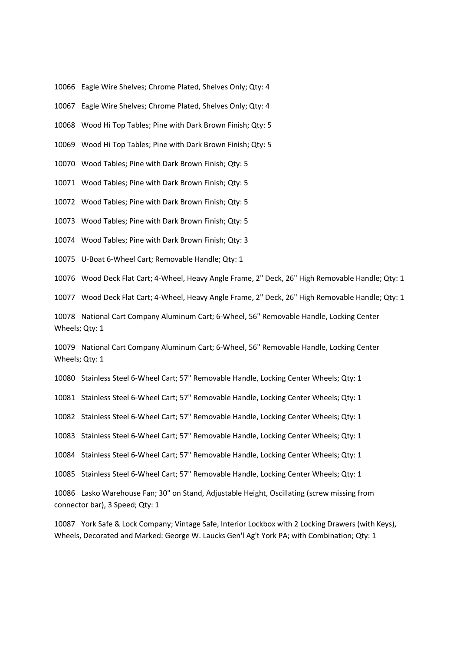10066 Eagle Wire Shelves; Chrome Plated, Shelves Only; Qty: 4

10067 Eagle Wire Shelves; Chrome Plated, Shelves Only; Qty: 4

10068 Wood Hi Top Tables; Pine with Dark Brown Finish; Qty: 5

10069 Wood Hi Top Tables; Pine with Dark Brown Finish; Qty: 5

10070 Wood Tables; Pine with Dark Brown Finish; Qty: 5

10071 Wood Tables; Pine with Dark Brown Finish; Qty: 5

10072 Wood Tables; Pine with Dark Brown Finish; Qty: 5

10073 Wood Tables; Pine with Dark Brown Finish; Qty: 5

10074 Wood Tables; Pine with Dark Brown Finish; Qty: 3

10075 U-Boat 6-Wheel Cart; Removable Handle; Qty: 1

10076 Wood Deck Flat Cart; 4-Wheel, Heavy Angle Frame, 2" Deck, 26" High Removable Handle; Qty: 1

10077 Wood Deck Flat Cart; 4-Wheel, Heavy Angle Frame, 2" Deck, 26" High Removable Handle; Qty: 1

10078 National Cart Company Aluminum Cart; 6-Wheel, 56" Removable Handle, Locking Center Wheels; Qty: 1

10079 National Cart Company Aluminum Cart; 6-Wheel, 56" Removable Handle, Locking Center Wheels; Qty: 1

10080 Stainless Steel 6-Wheel Cart; 57" Removable Handle, Locking Center Wheels; Qty: 1

10081 Stainless Steel 6-Wheel Cart; 57" Removable Handle, Locking Center Wheels; Qty: 1

10082 Stainless Steel 6-Wheel Cart; 57" Removable Handle, Locking Center Wheels; Qty: 1

10083 Stainless Steel 6-Wheel Cart; 57" Removable Handle, Locking Center Wheels; Qty: 1

10084 Stainless Steel 6-Wheel Cart; 57" Removable Handle, Locking Center Wheels; Qty: 1

10085 Stainless Steel 6-Wheel Cart; 57" Removable Handle, Locking Center Wheels; Qty: 1

10086 Lasko Warehouse Fan; 30" on Stand, Adjustable Height, Oscillating (screw missing from connector bar), 3 Speed; Qty: 1

10087 York Safe & Lock Company; Vintage Safe, Interior Lockbox with 2 Locking Drawers (with Keys), Wheels, Decorated and Marked: George W. Laucks Gen'l Ag't York PA; with Combination; Qty: 1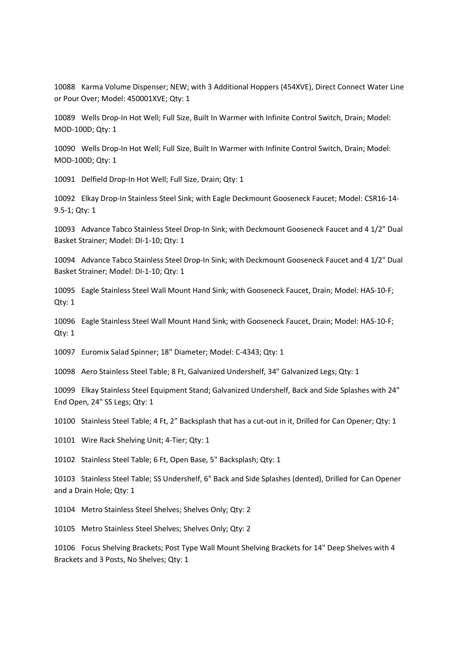10088 Karma Volume Dispenser; NEW; with 3 Additional Hoppers (454XVE), Direct Connect Water Line or Pour Over; Model: 450001XVE; Qty: 1

10089 Wells Drop-In Hot Well; Full Size, Built In Warmer with Infinite Control Switch, Drain; Model: MOD-100D; Qty: 1

10090 Wells Drop-In Hot Well; Full Size, Built In Warmer with Infinite Control Switch, Drain; Model: MOD-100D; Qty: 1

10091 Delfield Drop-In Hot Well; Full Size, Drain; Qty: 1

10092 Elkay Drop-In Stainless Steel Sink; with Eagle Deckmount Gooseneck Faucet; Model: CSR16-14- 9.5-1; Qty: 1

10093 Advance Tabco Stainless Steel Drop-In Sink; with Deckmount Gooseneck Faucet and 4 1/2" Dual Basket Strainer; Model: DI-1-10; Qty: 1

10094 Advance Tabco Stainless Steel Drop-In Sink; with Deckmount Gooseneck Faucet and 4 1/2" Dual Basket Strainer; Model: DI-1-10; Qty: 1

10095 Eagle Stainless Steel Wall Mount Hand Sink; with Gooseneck Faucet, Drain; Model: HAS-10-F; Qty: 1

10096 Eagle Stainless Steel Wall Mount Hand Sink; with Gooseneck Faucet, Drain; Model: HAS-10-F; Qty: 1

10097 Euromix Salad Spinner; 18" Diameter; Model: C-4343; Qty: 1

10098 Aero Stainless Steel Table; 8 Ft, Galvanized Undershelf, 34" Galvanized Legs; Qty: 1

10099 Elkay Stainless Steel Equipment Stand; Galvanized Undershelf, Back and Side Splashes with 24" End Open, 24" SS Legs; Qty: 1

10100 Stainless Steel Table; 4 Ft, 2" Backsplash that has a cut-out in it, Drilled for Can Opener; Qty: 1

10101 Wire Rack Shelving Unit; 4-Tier; Qty: 1

10102 Stainless Steel Table; 6 Ft, Open Base, 5" Backsplash; Qty: 1

10103 Stainless Steel Table; SS Undershelf, 6" Back and Side Splashes (dented), Drilled for Can Opener and a Drain Hole; Qty: 1

10104 Metro Stainless Steel Shelves; Shelves Only; Qty: 2

10105 Metro Stainless Steel Shelves; Shelves Only; Qty: 2

10106 Focus Shelving Brackets; Post Type Wall Mount Shelving Brackets for 14" Deep Shelves with 4 Brackets and 3 Posts, No Shelves; Qty: 1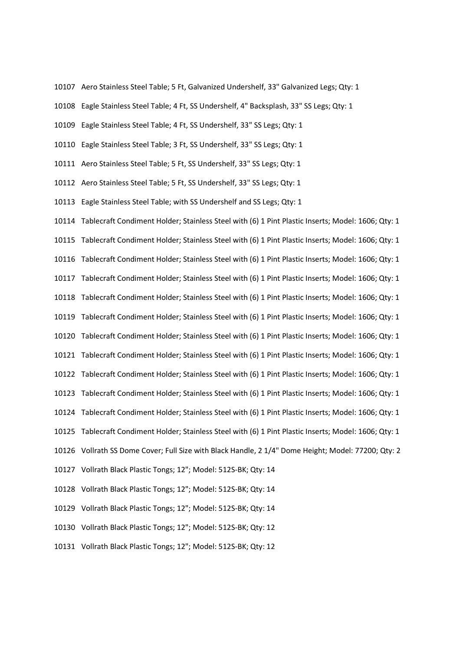- 10107 Aero Stainless Steel Table; 5 Ft, Galvanized Undershelf, 33" Galvanized Legs; Qty: 1
- 10108 Eagle Stainless Steel Table; 4 Ft, SS Undershelf, 4" Backsplash, 33" SS Legs; Qty: 1
- 10109 Eagle Stainless Steel Table; 4 Ft, SS Undershelf, 33" SS Legs; Qty: 1
- 10110 Eagle Stainless Steel Table; 3 Ft, SS Undershelf, 33" SS Legs; Qty: 1
- 10111 Aero Stainless Steel Table; 5 Ft, SS Undershelf, 33" SS Legs; Qty: 1
- 10112 Aero Stainless Steel Table; 5 Ft, SS Undershelf, 33" SS Legs; Qty: 1
- 10113 Eagle Stainless Steel Table; with SS Undershelf and SS Legs; Qty: 1

10114 Tablecraft Condiment Holder; Stainless Steel with (6) 1 Pint Plastic Inserts; Model: 1606; Qty: 1 10115 Tablecraft Condiment Holder; Stainless Steel with (6) 1 Pint Plastic Inserts; Model: 1606; Qty: 1 10116 Tablecraft Condiment Holder; Stainless Steel with (6) 1 Pint Plastic Inserts; Model: 1606; Qty: 1 10117 Tablecraft Condiment Holder; Stainless Steel with (6) 1 Pint Plastic Inserts; Model: 1606; Qty: 1 10118 Tablecraft Condiment Holder; Stainless Steel with (6) 1 Pint Plastic Inserts; Model: 1606; Qty: 1 10119 Tablecraft Condiment Holder; Stainless Steel with (6) 1 Pint Plastic Inserts; Model: 1606; Qty: 1 10120 Tablecraft Condiment Holder; Stainless Steel with (6) 1 Pint Plastic Inserts; Model: 1606; Qty: 1 10121 Tablecraft Condiment Holder; Stainless Steel with (6) 1 Pint Plastic Inserts; Model: 1606; Qty: 1 10122 Tablecraft Condiment Holder; Stainless Steel with (6) 1 Pint Plastic Inserts; Model: 1606; Qty: 1 10123 Tablecraft Condiment Holder; Stainless Steel with (6) 1 Pint Plastic Inserts; Model: 1606; Qty: 1 10124 Tablecraft Condiment Holder; Stainless Steel with (6) 1 Pint Plastic Inserts; Model: 1606; Qty: 1 10125 Tablecraft Condiment Holder; Stainless Steel with (6) 1 Pint Plastic Inserts; Model: 1606; Qty: 1 10126 Vollrath SS Dome Cover; Full Size with Black Handle, 2 1/4" Dome Height; Model: 77200; Qty: 2 10127 Vollrath Black Plastic Tongs; 12"; Model: 512S-BK; Qty: 14 10128 Vollrath Black Plastic Tongs; 12"; Model: 512S-BK; Qty: 14 10129 Vollrath Black Plastic Tongs; 12"; Model: 512S-BK; Qty: 14 10130 Vollrath Black Plastic Tongs; 12"; Model: 512S-BK; Qty: 12

10131 Vollrath Black Plastic Tongs; 12"; Model: 512S-BK; Qty: 12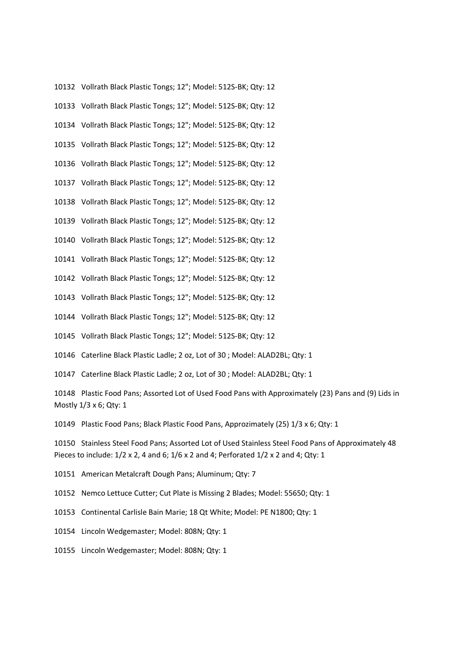10132 Vollrath Black Plastic Tongs; 12"; Model: 512S-BK; Qty: 12

10133 Vollrath Black Plastic Tongs; 12"; Model: 512S-BK; Qty: 12

10134 Vollrath Black Plastic Tongs; 12"; Model: 512S-BK; Qty: 12

10135 Vollrath Black Plastic Tongs; 12"; Model: 512S-BK; Qty: 12

10136 Vollrath Black Plastic Tongs; 12"; Model: 512S-BK; Qty: 12

10137 Vollrath Black Plastic Tongs; 12"; Model: 512S-BK; Qty: 12

10138 Vollrath Black Plastic Tongs; 12"; Model: 512S-BK; Qty: 12

10139 Vollrath Black Plastic Tongs; 12"; Model: 512S-BK; Qty: 12

10140 Vollrath Black Plastic Tongs; 12"; Model: 512S-BK; Qty: 12

10141 Vollrath Black Plastic Tongs; 12"; Model: 512S-BK; Qty: 12

10142 Vollrath Black Plastic Tongs; 12"; Model: 512S-BK; Qty: 12

10143 Vollrath Black Plastic Tongs; 12"; Model: 512S-BK; Qty: 12

10144 Vollrath Black Plastic Tongs; 12"; Model: 512S-BK; Qty: 12

10145 Vollrath Black Plastic Tongs; 12"; Model: 512S-BK; Qty: 12

10146 Caterline Black Plastic Ladle; 2 oz, Lot of 30 ; Model: ALAD2BL; Qty: 1

10147 Caterline Black Plastic Ladle; 2 oz, Lot of 30 ; Model: ALAD2BL; Qty: 1

10148 Plastic Food Pans; Assorted Lot of Used Food Pans with Approximately (23) Pans and (9) Lids in Mostly 1/3 x 6; Qty: 1

10149 Plastic Food Pans; Black Plastic Food Pans, Approzimately (25) 1/3 x 6; Qty: 1

10150 Stainless Steel Food Pans; Assorted Lot of Used Stainless Steel Food Pans of Approximately 48 Pieces to include: 1/2 x 2, 4 and 6; 1/6 x 2 and 4; Perforated 1/2 x 2 and 4; Qty: 1

10151 American Metalcraft Dough Pans; Aluminum; Qty: 7

10152 Nemco Lettuce Cutter; Cut Plate is Missing 2 Blades; Model: 55650; Qty: 1

10153 Continental Carlisle Bain Marie; 18 Qt White; Model: PE N1800; Qty: 1

10154 Lincoln Wedgemaster; Model: 808N; Qty: 1

10155 Lincoln Wedgemaster; Model: 808N; Qty: 1